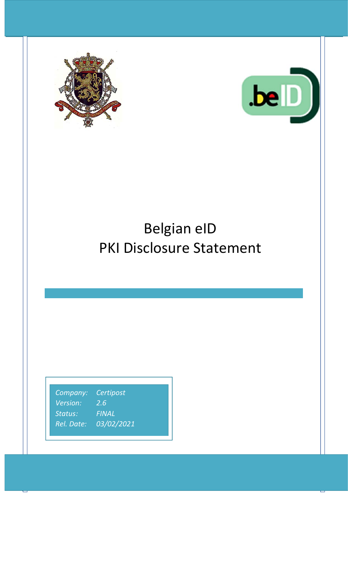



# Belgian eID PKI Disclosure Statement

*Company: Certipost Version: 2.6 Status:* FINAL *Rel. Date: 03/02/2021*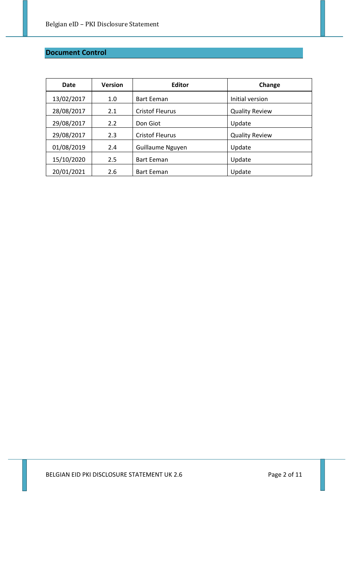# **Document Control**

| Date       | <b>Version</b> | <b>Editor</b>          | Change                |
|------------|----------------|------------------------|-----------------------|
| 13/02/2017 | 1.0            | <b>Bart Eeman</b>      | Initial version       |
| 28/08/2017 | 2.1            | <b>Cristof Fleurus</b> | <b>Quality Review</b> |
| 29/08/2017 | 2.2            | Don Giot               | Update                |
| 29/08/2017 | 2.3            | <b>Cristof Fleurus</b> | <b>Quality Review</b> |
| 01/08/2019 | 2.4            | Guillaume Nguyen       | Update                |
| 15/10/2020 | 2.5            | <b>Bart Eeman</b>      | Update                |
| 20/01/2021 | 2.6            | <b>Bart Eeman</b>      | Update                |

BELGIAN EID PKI DISCLOSURE STATEMENT UK 2.6 Page 2 of 11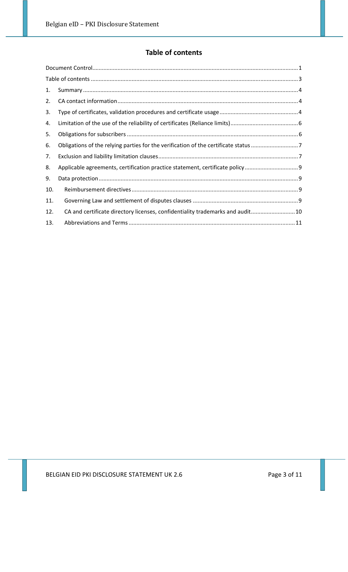# **Table of contents**

| 1.  |                                                                               |  |
|-----|-------------------------------------------------------------------------------|--|
| 2.  |                                                                               |  |
| 3.  |                                                                               |  |
| 4.  |                                                                               |  |
| 5.  |                                                                               |  |
| 6.  |                                                                               |  |
| 7.  |                                                                               |  |
| 8.  | Applicable agreements, certification practice statement, certificate policy   |  |
| 9.  |                                                                               |  |
| 10. |                                                                               |  |
| 11. |                                                                               |  |
| 12. | CA and certificate directory licenses, confidentiality trademarks and audit10 |  |
| 13. |                                                                               |  |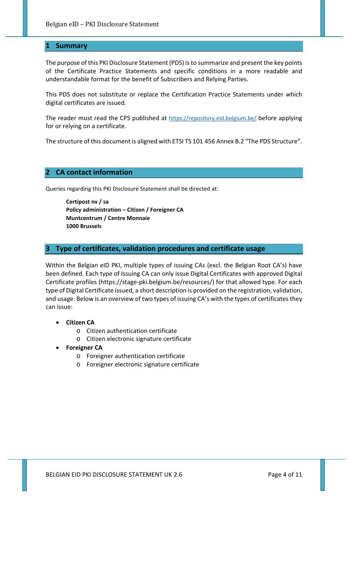#### **1 Summary**

The purpose of this PKI Disclosure Statement (PDS) is to summarize and present the key points of the Certificate Practice Statements and specific conditions in a more readable and understandable format for the benefit of Subscribers and Relying Parties.

This PDS does not substitute or replace the Certification Practice Statements under which digital certificates are issued.

The reader must read the CPS published at https://repository.eid.belgium.be/ before applying for or relying on a certificate.

The structure of this document is aligned with ETSI TS 101 456 Annex B.2 "The PDS Structure".

#### **2 CA contact information**

Queries regarding this PKI Disclosure Statement shall be directed at:

**Certipost nv / sa Policy administration – Citizen / Foreigner CA Muntcentrum / Centre Monnaie 1000 Brussels** 

#### **3 Type of certificates, validation procedures and certificate usage**

Within the Belgian eID PKI, multiple types of issuing CAs (excl. the Belgian Root CA's) have been defined. Each type of Issuing CA can only issue Digital Certificates with approved Digital Certificate profiles (https://stage‐pki.belgium.be/resources/) for that allowed type. For each type of Digital Certificate issued, a short description is provided on the registration, validation, and usage. Below is an overview of two types of issuing CA's with the types of certificates they can issue:

- **Citizen CA** 
	- o Citizen authentication certificate
	- o Citizen electronic signature certificate
- **Foreigner CA** 
	- o Foreigner authentication certificate
	- o Foreigner electronic signature certificate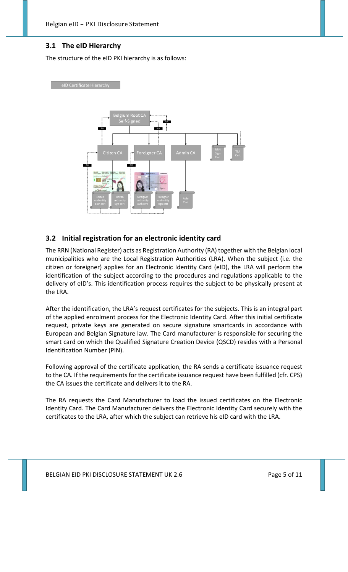# **3.1 The eID Hierarchy**

The structure of the eID PKI hierarchy is as follows:





# **3.2 Initial registration for an electronic identity card**

The RRN (National Register) acts as Registration Authority (RA) together with the Belgian local municipalities who are the Local Registration Authorities (LRA). When the subject (i.e. the citizen or foreigner) applies for an Electronic Identity Card (eID), the LRA will perform the identification of the subject according to the procedures and regulations applicable to the delivery of eID's. This identification process requires the subject to be physically present at the LRA.

After the identification, the LRA's request certificates for the subjects. This is an integral part of the applied enrolment process for the Electronic Identity Card. After this initial certificate request, private keys are generated on secure signature smartcards in accordance with European and Belgian Signature law. The Card manufacturer is responsible for securing the smart card on which the Qualified Signature Creation Device (QSCD) resides with a Personal Identification Number (PIN).

Following approval of the certificate application, the RA sends a certificate issuance request to the CA. If the requirements for the certificate issuance request have been fulfilled (cfr. CPS) the CA issues the certificate and delivers it to the RA.

The RA requests the Card Manufacturer to load the issued certificates on the Electronic Identity Card. The Card Manufacturer delivers the Electronic Identity Card securely with the certificates to the LRA, after which the subject can retrieve his eID card with the LRA.

BELGIAN EID PKI DISCLOSURE STATEMENT UK 2.6 Page 5 of 11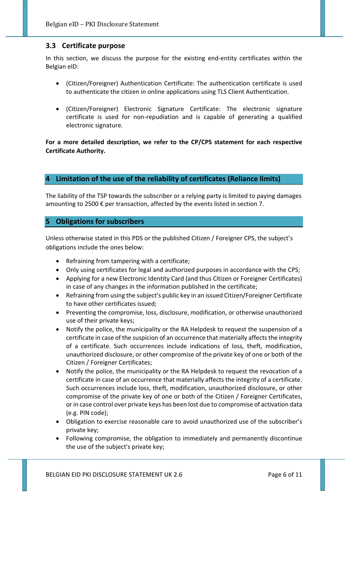# **3.3 Certificate purpose**

In this section, we discuss the purpose for the existing end-entity certificates within the Belgian eID:

- (Citizen/Foreigner) Authentication Certificate: The authentication certificate is used to authenticate the citizen in online applications using TLS Client Authentication.
- (Citizen/Foreigner) Electronic Signature Certificate: The electronic signature certificate is used for non‐repudiation and is capable of generating a qualified electronic signature.

**For a more detailed description, we refer to the CP/CPS statement for each respective Certificate Authority.**

#### **4 Limitation of the use of the reliability of certificates (Reliance limits)**

The liability of the TSP towards the subscriber or a relying party is limited to paying damages amounting to 2500 € per transaction, affected by the events listed in section 7.

# **5 Obligations for subscribers**

Unless otherwise stated in this PDS or the published Citizen / Foreigner CPS, the subject's obligations include the ones below:

- Refraining from tampering with a certificate;
- Only using certificates for legal and authorized purposes in accordance with the CPS;
- Applying for a new Electronic Identity Card (and thus Citizen or Foreigner Certificates) in case of any changes in the information published in the certificate;
- Refraining from using the subject's public key in an issued Citizen/Foreigner Certificate to have other certificates issued;
- Preventing the compromise, loss, disclosure, modification, or otherwise unauthorized use of their private keys;
- Notify the police, the municipality or the RA Helpdesk to request the suspension of a certificate in case of the suspicion of an occurrence that materially affects the integrity of a certificate. Such occurrences include indications of loss, theft, modification, unauthorized disclosure, or other compromise of the private key of one or both of the Citizen / Foreigner Certificates;
- Notify the police, the municipality or the RA Helpdesk to request the revocation of a certificate in case of an occurrence that materially affects the integrity of a certificate. Such occurrences include loss, theft, modification, unauthorized disclosure, or other compromise of the private key of one or both of the Citizen / Foreigner Certificates, or in case control over private keys has been lost due to compromise of activation data (e.g. PIN code);
- Obligation to exercise reasonable care to avoid unauthorized use of the subscriber's private key;
- Following compromise, the obligation to immediately and permanently discontinue the use of the subject's private key;

BELGIAN EID PKI DISCLOSURE STATEMENT UK 2.6 Page 6 of 11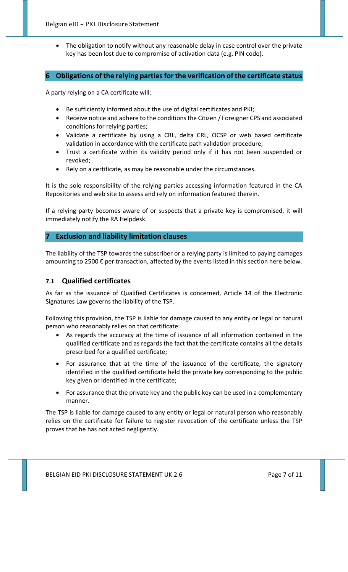The obligation to notify without any reasonable delay in case control over the private key has been lost due to compromise of activation data (e.g. PIN code).

# **6 Obligations of the relying parties for the verification of the certificate status**

A party relying on a CA certificate will:

- Be sufficiently informed about the use of digital certificates and PKI;
- Receive notice and adhere to the conditions the Citizen / Foreigner CPS and associated conditions for relying parties;
- Validate a certificate by using a CRL, delta CRL, OCSP or web based certificate validation in accordance with the certificate path validation procedure;
- Trust a certificate within its validity period only if it has not been suspended or revoked;
- Rely on a certificate, as may be reasonable under the circumstances.

It is the sole responsibility of the relying parties accessing information featured in the CA Repositories and web site to assess and rely on information featured therein.

If a relying party becomes aware of or suspects that a private key is compromised, it will immediately notify the RA Helpdesk.

#### **7 Exclusion and liability limitation clauses**

The liability of the TSP towards the subscriber or a relying party is limited to paying damages amounting to 2500 € per transaction, affected by the events listed in this section here below.

## **7.1 Qualified certificates**

As far as the issuance of Qualified Certificates is concerned, Article 14 of the Electronic Signatures Law governs the liability of the TSP.

Following this provision, the TSP is liable for damage caused to any entity or legal or natural person who reasonably relies on that certificate:

- As regards the accuracy at the time of issuance of all information contained in the qualified certificate and as regards the fact that the certificate contains all the details prescribed for a qualified certificate;
- For assurance that at the time of the issuance of the certificate, the signatory identified in the qualified certificate held the private key corresponding to the public key given or identified in the certificate;
- For assurance that the private key and the public key can be used in a complementary manner.

The TSP is liable for damage caused to any entity or legal or natural person who reasonably relies on the certificate for failure to register revocation of the certificate unless the TSP proves that he has not acted negligently.

BELGIAN EID PKI DISCLOSURE STATEMENT UK 2.6 Page 7 of 11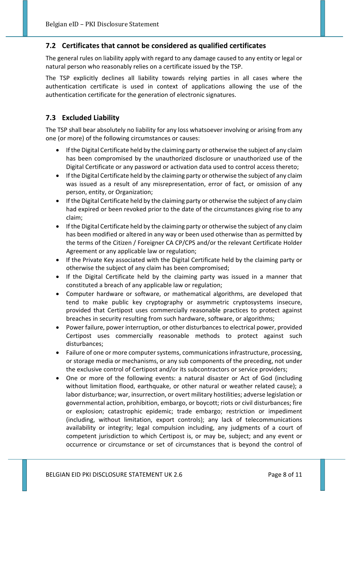# **7.2 Certificates that cannot be considered as qualified certificates**

The general rules on liability apply with regard to any damage caused to any entity or legal or natural person who reasonably relies on a certificate issued by the TSP.

The TSP explicitly declines all liability towards relying parties in all cases where the authentication certificate is used in context of applications allowing the use of the authentication certificate for the generation of electronic signatures.

# **7.3 Excluded Liability**

The TSP shall bear absolutely no liability for any loss whatsoever involving or arising from any one (or more) of the following circumstances or causes:

- If the Digital Certificate held by the claiming party or otherwise the subject of any claim has been compromised by the unauthorized disclosure or unauthorized use of the Digital Certificate or any password or activation data used to control access thereto;
- If the Digital Certificate held by the claiming party or otherwise the subject of any claim was issued as a result of any misrepresentation, error of fact, or omission of any person, entity, or Organization;
- If the Digital Certificate held by the claiming party or otherwise the subject of any claim had expired or been revoked prior to the date of the circumstances giving rise to any claim;
- If the Digital Certificate held by the claiming party or otherwise the subject of any claim has been modified or altered in any way or been used otherwise than as permitted by the terms of the Citizen / Foreigner CA CP/CPS and/or the relevant Certificate Holder Agreement or any applicable law or regulation;
- If the Private Key associated with the Digital Certificate held by the claiming party or otherwise the subject of any claim has been compromised;
- If the Digital Certificate held by the claiming party was issued in a manner that constituted a breach of any applicable law or regulation;
- Computer hardware or software, or mathematical algorithms, are developed that tend to make public key cryptography or asymmetric cryptosystems insecure, provided that Certipost uses commercially reasonable practices to protect against breaches in security resulting from such hardware, software, or algorithms;
- Power failure, power interruption, or other disturbances to electrical power, provided Certipost uses commercially reasonable methods to protect against such disturbances;
- Failure of one or more computer systems, communications infrastructure, processing, or storage media or mechanisms, or any sub components of the preceding, not under the exclusive control of Certipost and/or its subcontractors or service providers;
- One or more of the following events: a natural disaster or Act of God (including without limitation flood, earthquake, or other natural or weather related cause); a labor disturbance; war, insurrection, or overt military hostilities; adverse legislation or governmental action, prohibition, embargo, or boycott; riots or civil disturbances; fire or explosion; catastrophic epidemic; trade embargo; restriction or impediment (including, without limitation, export controls); any lack of telecommunications availability or integrity; legal compulsion including, any judgments of a court of competent jurisdiction to which Certipost is, or may be, subject; and any event or occurrence or circumstance or set of circumstances that is beyond the control of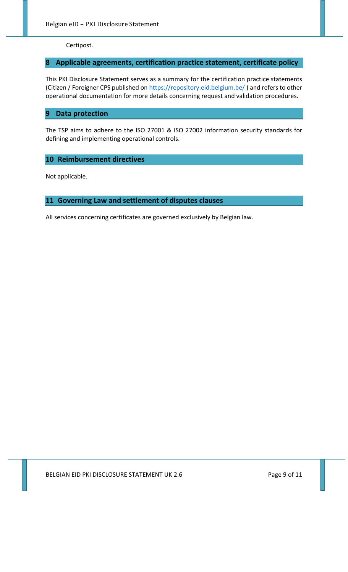Certipost.

# **8 Applicable agreements, certification practice statement, certificate policy**

This PKI Disclosure Statement serves as a summary for the certification practice statements (Citizen / Foreigner CPS published on https://repository.eid.belgium.be/) and refers to other operational documentation for more details concerning request and validation procedures.

#### **9 Data protection**

The TSP aims to adhere to the ISO 27001 & ISO 27002 information security standards for defining and implementing operational controls.

## **10 Reimbursement directives**

Not applicable.

## **11 Governing Law and settlement of disputes clauses**

All services concerning certificates are governed exclusively by Belgian law.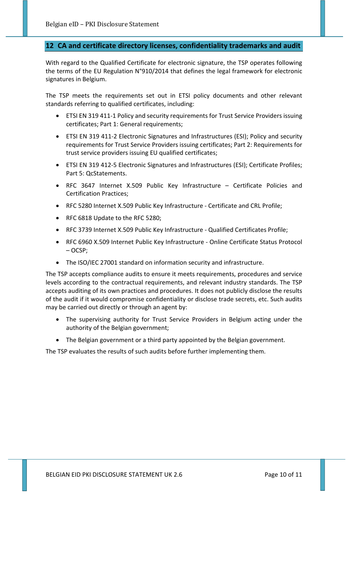#### **12 CA and certificate directory licenses, confidentiality trademarks and audit**

With regard to the Qualified Certificate for electronic signature, the TSP operates following the terms of the EU Regulation N°910/2014 that defines the legal framework for electronic signatures in Belgium.

The TSP meets the requirements set out in ETSI policy documents and other relevant standards referring to qualified certificates, including:

- ETSI EN 319 411‐1 Policy and security requirements for Trust Service Providers issuing certificates; Part 1: General requirements;
- ETSI EN 319 411‐2 Electronic Signatures and Infrastructures (ESI); Policy and security requirements for Trust Service Providers issuing certificates; Part 2: Requirements for trust service providers issuing EU qualified certificates;
- ETSI EN 319 412‐5 Electronic Signatures and Infrastructures (ESI); Certificate Profiles; Part 5: QcStatements.
- RFC 3647 Internet X.509 Public Key Infrastructure Certificate Policies and Certification Practices;
- RFC 5280 Internet X.509 Public Key Infrastructure Certificate and CRL Profile;
- RFC 6818 Update to the RFC 5280;
- RFC 3739 Internet X.509 Public Key Infrastructure Qualified Certificates Profile;
- RFC 6960 X.509 Internet Public Key Infrastructure ‐ Online Certificate Status Protocol – OCSP;
- The ISO/IEC 27001 standard on information security and infrastructure.

The TSP accepts compliance audits to ensure it meets requirements, procedures and service levels according to the contractual requirements, and relevant industry standards. The TSP accepts auditing of its own practices and procedures. It does not publicly disclose the results of the audit if it would compromise confidentiality or disclose trade secrets, etc. Such audits may be carried out directly or through an agent by:

- The supervising authority for Trust Service Providers in Belgium acting under the authority of the Belgian government;
- The Belgian government or a third party appointed by the Belgian government.

The TSP evaluates the results of such audits before further implementing them.